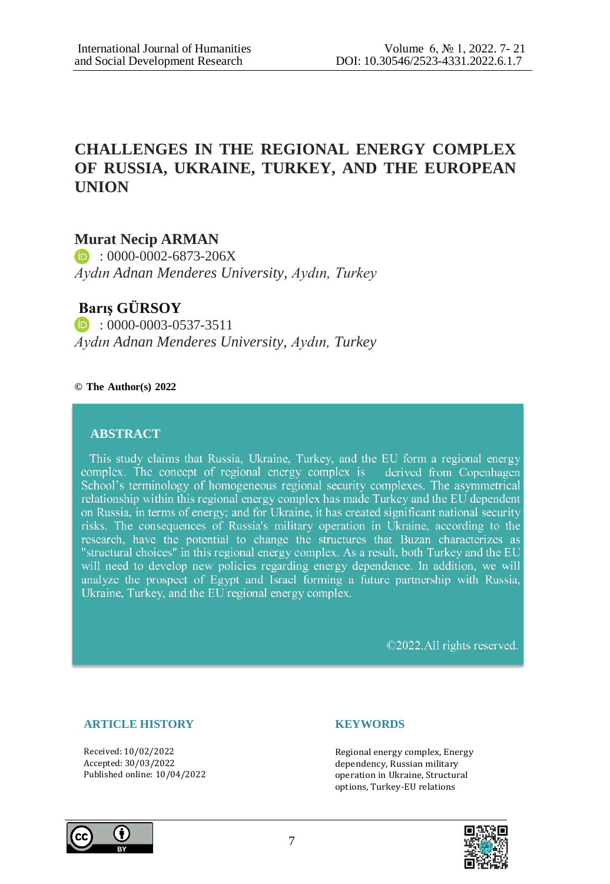# **CHALLENGES IN THE REGIONAL ENERGY COMPLEX OF RUSSIA, UKRAINE, TURKEY, AND THE EUROPEAN UNION**

## **Murat Necip ARMAN**

 $\bullet$  : 0000-0002-6873-206X *Aydın Adnan Menderes University, Aydın, Turkey*

## **Barış GÜRSOY**

 $\bullet$  : 0000-0003-0537-3511 *Aydın Adnan Menderes University, Aydın, Turkey*

### **© The Author(s) 2022**

## **ABSTRACT**

This study claims that Russia, Ukraine, Turkey, and the EU form a regional energy complex. The concept of regional energy complex is derived from Copenhagen School's terminology of homogeneous regional security complexes. The asymmetrical relationship within this regional energy complex has made Turkey and the EU dependent on Russia, in terms of energy; and for Ukraine, it has created significant national security risks. The consequences of Russia's military operation in Ukraine, according to the research, have the potential to change the structures that Buzan characterizes as "structural choices" in this regional energy complex. As a result, both Turkey and the EU will need to develop new policies regarding energy dependence. In addition, we will analyze the prospect of Egypt and Israel forming a future partnership with Russia, Ukraine, Turkey, and the EU regional energy complex.

©2022.All rights reserved.

## **ARTICLE HISTORY**

Received: 10/02/2022 Accepted: 30/03/2022 Published online: 10/04/2022

#### **KEYWORDS**

Regional energy complex, Energy dependency, Russian military operation in Ukraine, Structural options, Turkey-EU relations



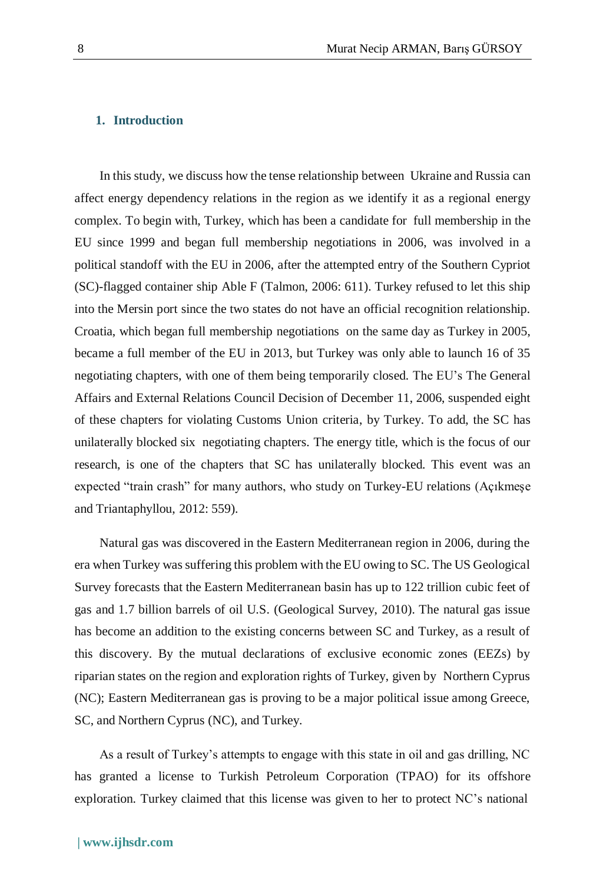## **1. Introduction**

In this study, we discuss how the tense relationship between Ukraine and Russia can affect energy dependency relations in the region as we identify it as a regional energy complex. To begin with, Turkey, which has been a candidate for full membership in the EU since 1999 and began full membership negotiations in 2006, was involved in a political standoff with the EU in 2006, after the attempted entry of the Southern Cypriot (SC)-flagged container ship Able F (Talmon, 2006: 611). Turkey refused to let this ship into the Mersin port since the two states do not have an official recognition relationship. Croatia, which began full membership negotiations on the same day as Turkey in 2005, became a full member of the EU in 2013, but Turkey was only able to launch 16 of 35 negotiating chapters, with one of them being temporarily closed. The EU's The General Affairs and External Relations Council Decision of December 11, 2006, suspended eight of these chapters for violating Customs Union criteria, by Turkey. To add, the SC has unilaterally blocked six negotiating chapters. The energy title, which is the focus of our research, is one of the chapters that SC has unilaterally blocked. This event was an expected "train crash" for many authors, who study on Turkey-EU relations (Açıkmeşe and Triantaphyllou, 2012: 559).

Natural gas was discovered in the Eastern Mediterranean region in 2006, during the era when Turkey was suffering this problem with the EU owing to SC. The US Geological Survey forecasts that the Eastern Mediterranean basin has up to 122 trillion cubic feet of gas and 1.7 billion barrels of oil U.S. (Geological Survey, 2010). The natural gas issue has become an addition to the existing concerns between SC and Turkey, as a result of this discovery. By the mutual declarations of exclusive economic zones (EEZs) by riparian states on the region and exploration rights of Turkey, given by Northern Cyprus (NC); Eastern Mediterranean gas is proving to be a major political issue among Greece, SC, and Northern Cyprus (NC), and Turkey.

As a result of Turkey's attempts to engage with this state in oil and gas drilling, NC has granted a license to Turkish Petroleum Corporation (TPAO) for its offshore exploration. Turkey claimed that this license was given to her to protect NC's national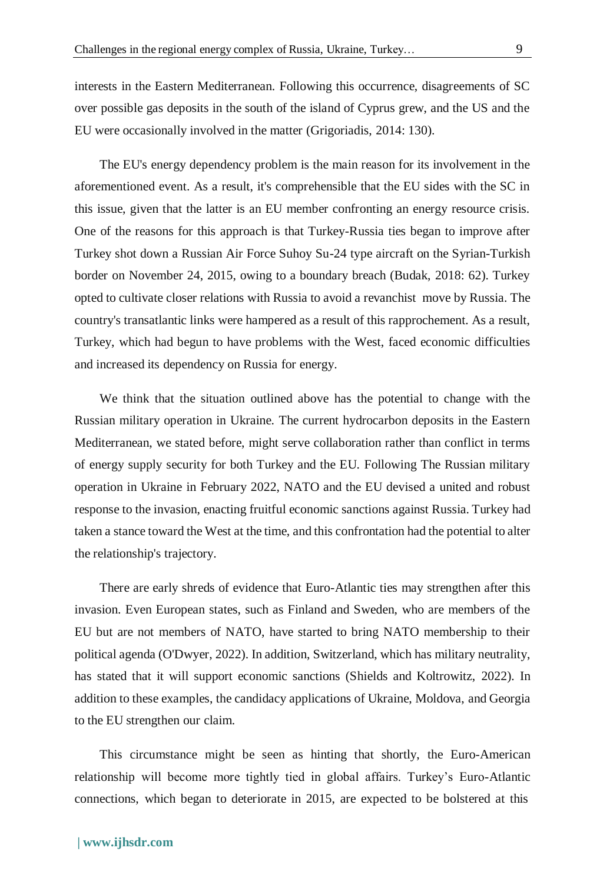interests in the Eastern Mediterranean. Following this occurrence, disagreements of SC over possible gas deposits in the south of the island of Cyprus grew, and the US and the EU were occasionally involved in the matter (Grigoriadis, 2014: 130).

The EU's energy dependency problem is the main reason for its involvement in the aforementioned event. As a result, it's comprehensible that the EU sides with the SC in this issue, given that the latter is an EU member confronting an energy resource crisis. One of the reasons for this approach is that Turkey-Russia ties began to improve after Turkey shot down a Russian Air Force Suhoy Su-24 type aircraft on the Syrian-Turkish border on November 24, 2015, owing to a boundary breach (Budak, 2018: 62). Turkey opted to cultivate closer relations with Russia to avoid a revanchist move by Russia. The country's transatlantic links were hampered as a result of this rapprochement. As a result, Turkey, which had begun to have problems with the West, faced economic difficulties and increased its dependency on Russia for energy.

We think that the situation outlined above has the potential to change with the Russian military operation in Ukraine. The current hydrocarbon deposits in the Eastern Mediterranean, we stated before, might serve collaboration rather than conflict in terms of energy supply security for both Turkey and the EU. Following The Russian military operation in Ukraine in February 2022, NATO and the EU devised a united and robust response to the invasion, enacting fruitful economic sanctions against Russia. Turkey had taken a stance toward the West at the time, and this confrontation had the potential to alter the relationship's trajectory.

There are early shreds of evidence that Euro-Atlantic ties may strengthen after this invasion. Even European states, such as Finland and Sweden, who are members of the EU but are not members of NATO, have started to bring NATO membership to their political agenda (O'Dwyer, 2022). In addition, Switzerland, which has military neutrality, has stated that it will support economic sanctions (Shields and Koltrowitz, 2022). In addition to these examples, the candidacy applications of Ukraine, Moldova, and Georgia to the EU strengthen our claim.

This circumstance might be seen as hinting that shortly, the Euro-American relationship will become more tightly tied in global affairs. Turkey's Euro-Atlantic connections, which began to deteriorate in 2015, are expected to be bolstered at this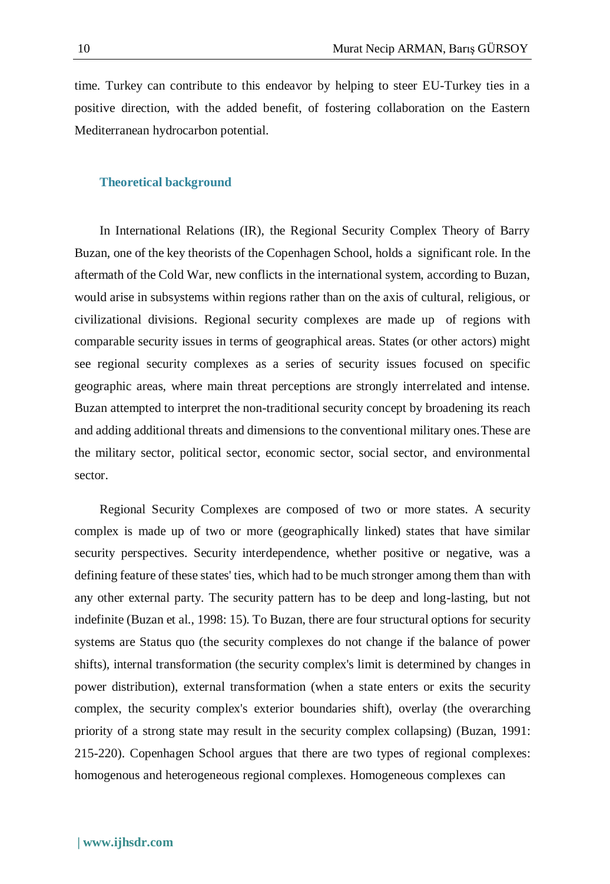time. Turkey can contribute to this endeavor by helping to steer EU-Turkey ties in a positive direction, with the added benefit, of fostering collaboration on the Eastern Mediterranean hydrocarbon potential.

#### **Theoretical background**

In International Relations (IR), the Regional Security Complex Theory of Barry Buzan, one of the key theorists of the Copenhagen School, holds a significant role. In the aftermath of the Cold War, new conflicts in the international system, according to Buzan, would arise in subsystems within regions rather than on the axis of cultural, religious, or civilizational divisions. Regional security complexes are made up of regions with comparable security issues in terms of geographical areas. States (or other actors) might see regional security complexes as a series of security issues focused on specific geographic areas, where main threat perceptions are strongly interrelated and intense. Buzan attempted to interpret the non-traditional security concept by broadening its reach and adding additional threats and dimensions to the conventional military ones.These are the military sector, political sector, economic sector, social sector, and environmental sector.

Regional Security Complexes are composed of two or more states. A security complex is made up of two or more (geographically linked) states that have similar security perspectives. Security interdependence, whether positive or negative, was a defining feature of these states' ties, which had to be much stronger among them than with any other external party. The security pattern has to be deep and long-lasting, but not indefinite (Buzan et al., 1998: 15). To Buzan, there are four structural options for security systems are Status quo (the security complexes do not change if the balance of power shifts), internal transformation (the security complex's limit is determined by changes in power distribution), external transformation (when a state enters or exits the security complex, the security complex's exterior boundaries shift), overlay (the overarching priority of a strong state may result in the security complex collapsing) (Buzan, 1991: 215-220). Copenhagen School argues that there are two types of regional complexes: homogenous and heterogeneous regional complexes. Homogeneous complexes can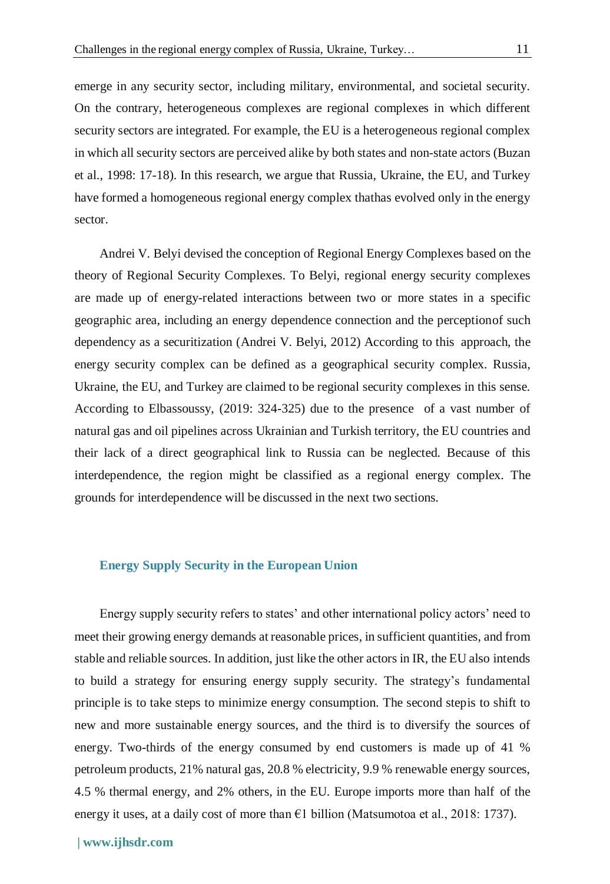emerge in any security sector, including military, environmental, and societal security. On the contrary, heterogeneous complexes are regional complexes in which different security sectors are integrated. For example, the EU is a heterogeneous regional complex in which all security sectors are perceived alike by both states and non-state actors (Buzan et al., 1998: 17-18). In this research, we argue that Russia, Ukraine, the EU, and Turkey have formed a homogeneous regional energy complex thathas evolved only in the energy sector.

Andrei V. Belyi devised the conception of Regional Energy Complexes based on the theory of Regional Security Complexes. To Belyi, regional energy security complexes are made up of energy-related interactions between two or more states in a specific geographic area, including an energy dependence connection and the perceptionof such dependency as a securitization (Andrei V. Belyi, 2012) According to this approach, the energy security complex can be defined as a geographical security complex. Russia, Ukraine, the EU, and Turkey are claimed to be regional security complexes in this sense. According to Elbassoussy, (2019: 324-325) due to the presence of a vast number of natural gas and oil pipelines across Ukrainian and Turkish territory, the EU countries and their lack of a direct geographical link to Russia can be neglected. Because of this interdependence, the region might be classified as a regional energy complex. The grounds for interdependence will be discussed in the next two sections.

#### **Energy Supply Security in the European Union**

Energy supply security refers to states' and other international policy actors' need to meet their growing energy demands at reasonable prices, in sufficient quantities, and from stable and reliable sources. In addition, just like the other actors in IR, the EU also intends to build a strategy for ensuring energy supply security. The strategy's fundamental principle is to take steps to minimize energy consumption. The second stepis to shift to new and more sustainable energy sources, and the third is to diversify the sources of energy. Two-thirds of the energy consumed by end customers is made up of 41 % petroleum products, 21% natural gas, 20.8 % electricity, 9.9 % renewable energy sources, 4.5 % thermal energy, and 2% others, in the EU. Europe imports more than half of the energy it uses, at a daily cost of more than  $\epsilon$ 1 billion (Matsumotoa et al., 2018: 1737).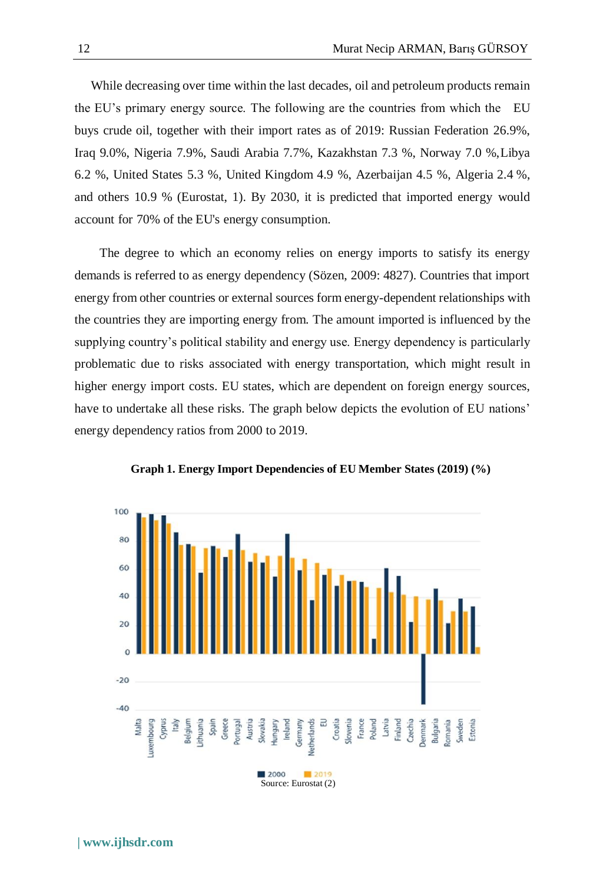While decreasing over time within the last decades, oil and petroleum products remain the EU's primary energy source. The following are the countries from which the EU buys crude oil, together with their import rates as of 2019: Russian Federation 26.9%, Iraq 9.0%, Nigeria 7.9%, Saudi Arabia 7.7%, Kazakhstan 7.3 %, Norway 7.0 %,Libya 6.2 %, United States 5.3 %, United Kingdom 4.9 %, Azerbaijan 4.5 %, Algeria 2.4 %, and others 10.9 % (Eurostat, 1). By 2030, it is predicted that imported energy would account for 70% of the EU's energy consumption.

The degree to which an economy relies on energy imports to satisfy its energy demands is referred to as energy dependency (Sözen, 2009: 4827). Countries that import energy from other countries or external sources form energy-dependent relationships with the countries they are importing energy from. The amount imported is influenced by the supplying country's political stability and energy use. Energy dependency is particularly problematic due to risks associated with energy transportation, which might result in higher energy import costs. EU states, which are dependent on foreign energy sources, have to undertake all these risks. The graph below depicts the evolution of EU nations' energy dependency ratios from 2000 to 2019.



**Graph 1. Energy Import Dependencies of EU Member States (2019) (%)**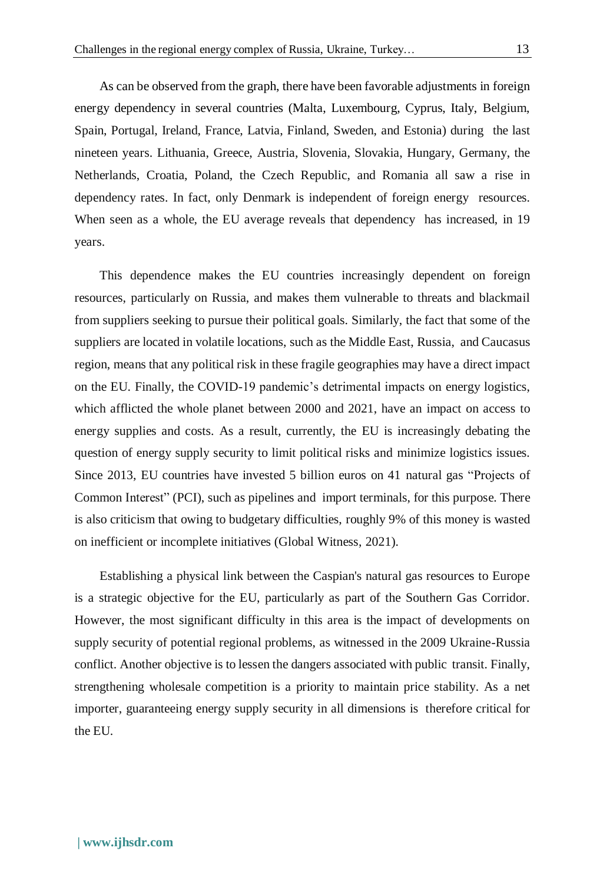As can be observed from the graph, there have been favorable adjustments in foreign energy dependency in several countries (Malta, Luxembourg, Cyprus, Italy, Belgium, Spain, Portugal, Ireland, France, Latvia, Finland, Sweden, and Estonia) during the last nineteen years. Lithuania, Greece, Austria, Slovenia, Slovakia, Hungary, Germany, the Netherlands, Croatia, Poland, the Czech Republic, and Romania all saw a rise in dependency rates. In fact, only Denmark is independent of foreign energy resources. When seen as a whole, the EU average reveals that dependency has increased, in 19 years.

This dependence makes the EU countries increasingly dependent on foreign resources, particularly on Russia, and makes them vulnerable to threats and blackmail from suppliers seeking to pursue their political goals. Similarly, the fact that some of the suppliers are located in volatile locations, such as the Middle East, Russia, and Caucasus region, means that any political risk in these fragile geographies may have a direct impact on the EU. Finally, the COVID-19 pandemic's detrimental impacts on energy logistics, which afflicted the whole planet between 2000 and 2021, have an impact on access to energy supplies and costs. As a result, currently, the EU is increasingly debating the question of energy supply security to limit political risks and minimize logistics issues. Since 2013, EU countries have invested 5 billion euros on 41 natural gas "Projects of Common Interest" (PCI), such as pipelines and import terminals, for this purpose. There is also criticism that owing to budgetary difficulties, roughly 9% of this money is wasted on inefficient or incomplete initiatives (Global Witness, 2021).

Establishing a physical link between the Caspian's natural gas resources to Europe is a strategic objective for the EU, particularly as part of the Southern Gas Corridor. However, the most significant difficulty in this area is the impact of developments on supply security of potential regional problems, as witnessed in the 2009 Ukraine-Russia conflict. Another objective is to lessen the dangers associated with public transit. Finally, strengthening wholesale competition is a priority to maintain price stability. As a net importer, guaranteeing energy supply security in all dimensions is therefore critical for the EU.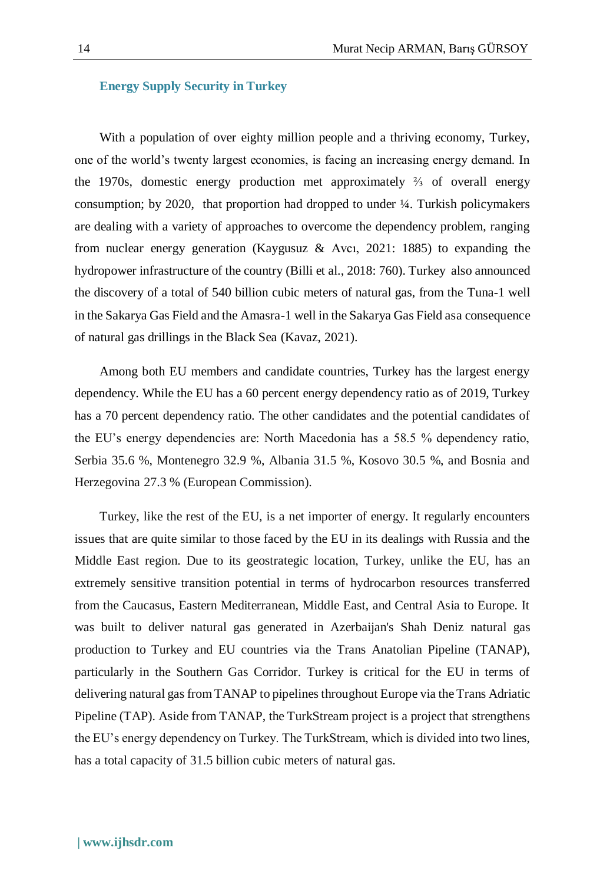### **Energy Supply Security in Turkey**

With a population of over eighty million people and a thriving economy, Turkey, one of the world's twenty largest economies, is facing an increasing energy demand. In the 1970s, domestic energy production met approximately ⅔ of overall energy consumption; by 2020, that proportion had dropped to under ¼. Turkish policymakers are dealing with a variety of approaches to overcome the dependency problem, ranging from nuclear energy generation (Kaygusuz & Avcı, 2021: 1885) to expanding the hydropower infrastructure of the country (Billi et al., 2018: 760). Turkey also announced the discovery of a total of 540 billion cubic meters of natural gas, from the Tuna-1 well in the Sakarya Gas Field and the Amasra-1 well in the Sakarya Gas Field asa consequence of natural gas drillings in the Black Sea (Kavaz, 2021).

Among both EU members and candidate countries, Turkey has the largest energy dependency. While the EU has a 60 percent energy dependency ratio as of 2019, Turkey has a 70 percent dependency ratio. The other candidates and the potential candidates of the EU's energy dependencies are: North Macedonia has a 58.5 % dependency ratio, Serbia 35.6 %, Montenegro 32.9 %, Albania 31.5 %, Kosovo 30.5 %, and Bosnia and Herzegovina 27.3 % (European Commission).

Turkey, like the rest of the EU, is a net importer of energy. It regularly encounters issues that are quite similar to those faced by the EU in its dealings with Russia and the Middle East region. Due to its geostrategic location, Turkey, unlike the EU, has an extremely sensitive transition potential in terms of hydrocarbon resources transferred from the Caucasus, Eastern Mediterranean, Middle East, and Central Asia to Europe. It was built to deliver natural gas generated in Azerbaijan's Shah Deniz natural gas production to Turkey and EU countries via the Trans Anatolian Pipeline (TANAP), particularly in the Southern Gas Corridor. Turkey is critical for the EU in terms of delivering natural gas from TANAP to pipelines throughout Europe via the Trans Adriatic Pipeline (TAP). Aside from TANAP, the TurkStream project is a project that strengthens the EU's energy dependency on Turkey. The TurkStream, which is divided into two lines, has a total capacity of 31.5 billion cubic meters of natural gas.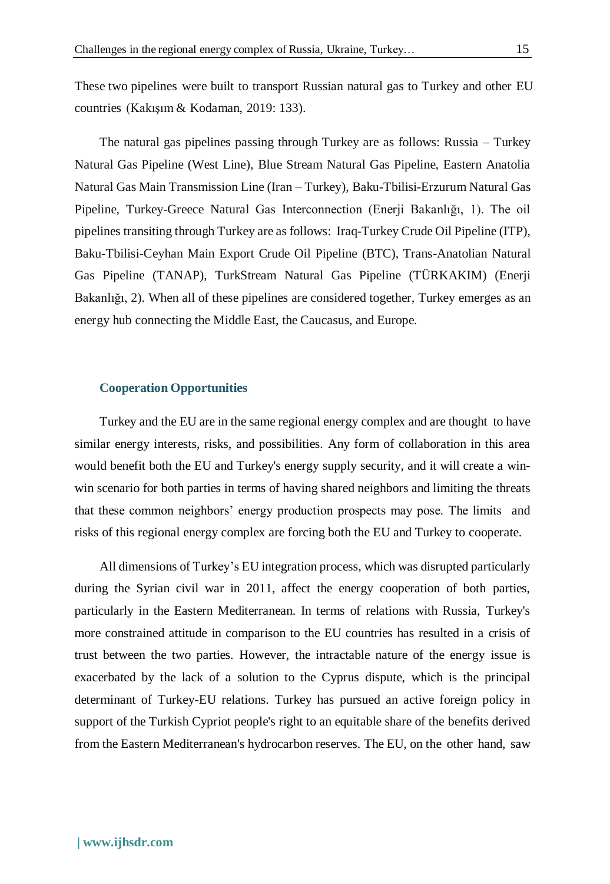These two pipelines were built to transport Russian natural gas to Turkey and other EU countries (Kakışım & Kodaman, 2019: 133).

The natural gas pipelines passing through Turkey are as follows: Russia – Turkey Natural Gas Pipeline (West Line), Blue Stream Natural Gas Pipeline, Eastern Anatolia Natural Gas Main Transmission Line (Iran – Turkey), Baku-Tbilisi-Erzurum Natural Gas Pipeline, Turkey-Greece Natural Gas Interconnection (Enerji Bakanlığı, 1). The oil pipelines transiting through Turkey are as follows: Iraq-Turkey Crude Oil Pipeline (ITP), Baku-Tbilisi-Ceyhan Main Export Crude Oil Pipeline (BTC), Trans-Anatolian Natural Gas Pipeline (TANAP), TurkStream Natural Gas Pipeline (TÜRKAKIM) (Enerji Bakanlığı, 2). When all of these pipelines are considered together, Turkey emerges as an energy hub connecting the Middle East, the Caucasus, and Europe.

## **Cooperation Opportunities**

Turkey and the EU are in the same regional energy complex and are thought to have similar energy interests, risks, and possibilities. Any form of collaboration in this area would benefit both the EU and Turkey's energy supply security, and it will create a winwin scenario for both parties in terms of having shared neighbors and limiting the threats that these common neighbors' energy production prospects may pose. The limits and risks of this regional energy complex are forcing both the EU and Turkey to cooperate.

All dimensions of Turkey's EU integration process, which was disrupted particularly during the Syrian civil war in 2011, affect the energy cooperation of both parties, particularly in the Eastern Mediterranean. In terms of relations with Russia, Turkey's more constrained attitude in comparison to the EU countries has resulted in a crisis of trust between the two parties. However, the intractable nature of the energy issue is exacerbated by the lack of a solution to the Cyprus dispute, which is the principal determinant of Turkey-EU relations. Turkey has pursued an active foreign policy in support of the Turkish Cypriot people's right to an equitable share of the benefits derived from the Eastern Mediterranean's hydrocarbon reserves. The EU, on the other hand, saw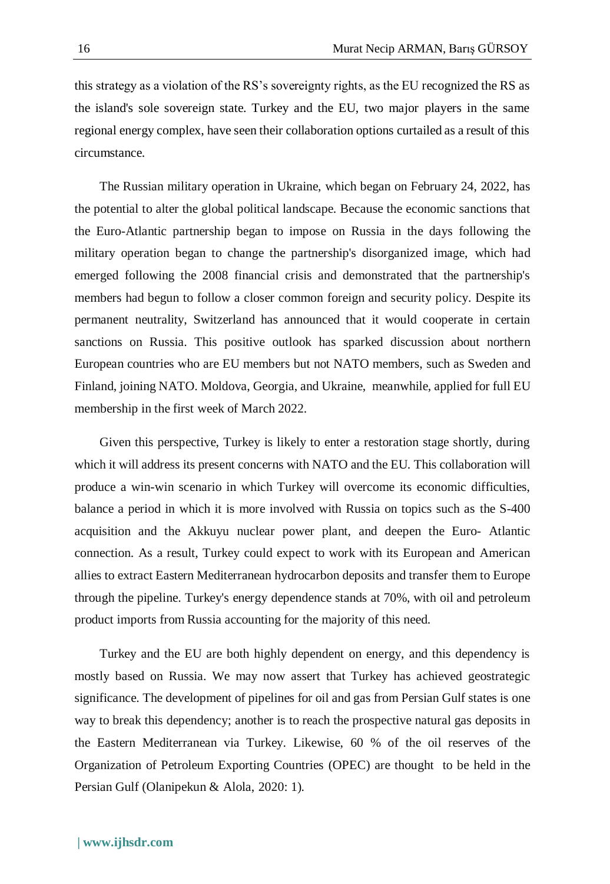this strategy as a violation of the RS's sovereignty rights, as the EU recognized the RS as the island's sole sovereign state. Turkey and the EU, two major players in the same regional energy complex, have seen their collaboration options curtailed as a result of this circumstance.

The Russian military operation in Ukraine, which began on February 24, 2022, has the potential to alter the global political landscape. Because the economic sanctions that the Euro-Atlantic partnership began to impose on Russia in the days following the military operation began to change the partnership's disorganized image, which had emerged following the 2008 financial crisis and demonstrated that the partnership's members had begun to follow a closer common foreign and security policy. Despite its permanent neutrality, Switzerland has announced that it would cooperate in certain sanctions on Russia. This positive outlook has sparked discussion about northern European countries who are EU members but not NATO members, such as Sweden and Finland, joining NATO. Moldova, Georgia, and Ukraine, meanwhile, applied for full EU membership in the first week of March 2022.

Given this perspective, Turkey is likely to enter a restoration stage shortly, during which it will address its present concerns with NATO and the EU. This collaboration will produce a win-win scenario in which Turkey will overcome its economic difficulties, balance a period in which it is more involved with Russia on topics such as the S-400 acquisition and the Akkuyu nuclear power plant, and deepen the Euro- Atlantic connection. As a result, Turkey could expect to work with its European and American allies to extract Eastern Mediterranean hydrocarbon deposits and transfer them to Europe through the pipeline. Turkey's energy dependence stands at 70%, with oil and petroleum product imports from Russia accounting for the majority of this need.

Turkey and the EU are both highly dependent on energy, and this dependency is mostly based on Russia. We may now assert that Turkey has achieved geostrategic significance. The development of pipelines for oil and gas from Persian Gulf states is one way to break this dependency; another is to reach the prospective natural gas deposits in the Eastern Mediterranean via Turkey. Likewise, 60 % of the oil reserves of the Organization of Petroleum Exporting Countries (OPEC) are thought to be held in the Persian Gulf (Olanipekun & Alola, 2020: 1).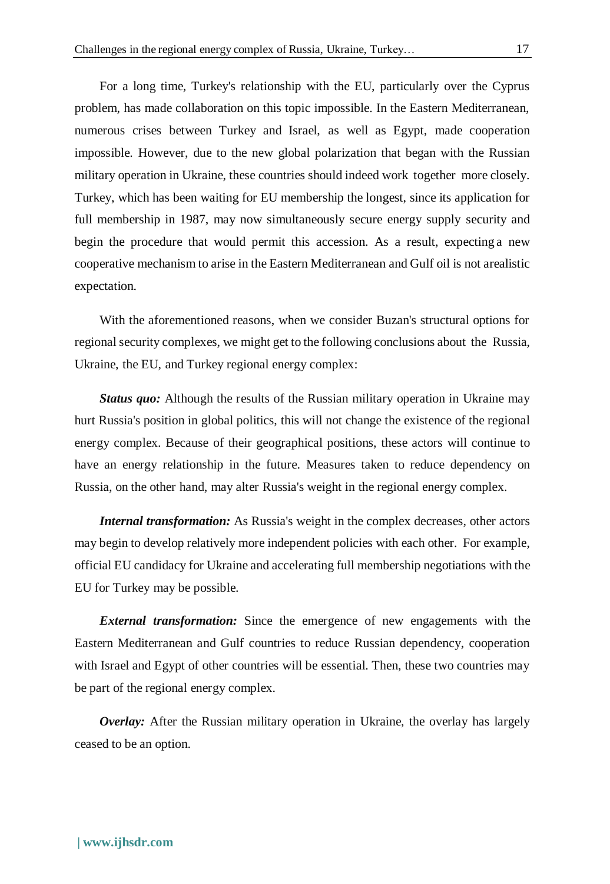For a long time, Turkey's relationship with the EU, particularly over the Cyprus problem, has made collaboration on this topic impossible. In the Eastern Mediterranean, numerous crises between Turkey and Israel, as well as Egypt, made cooperation impossible. However, due to the new global polarization that began with the Russian military operation in Ukraine, these countries should indeed work together more closely. Turkey, which has been waiting for EU membership the longest, since its application for full membership in 1987, may now simultaneously secure energy supply security and begin the procedure that would permit this accession. As a result, expecting a new cooperative mechanism to arise in the Eastern Mediterranean and Gulf oil is not arealistic expectation.

With the aforementioned reasons, when we consider Buzan's structural options for regionalsecurity complexes, we might get to the following conclusions about the Russia, Ukraine, the EU, and Turkey regional energy complex:

*Status quo:* Although the results of the Russian military operation in Ukraine may hurt Russia's position in global politics, this will not change the existence of the regional energy complex. Because of their geographical positions, these actors will continue to have an energy relationship in the future. Measures taken to reduce dependency on Russia, on the other hand, may alter Russia's weight in the regional energy complex.

*Internal transformation:* As Russia's weight in the complex decreases, other actors may begin to develop relatively more independent policies with each other. For example, official EU candidacy for Ukraine and accelerating full membership negotiations with the EU for Turkey may be possible.

*External transformation:* Since the emergence of new engagements with the Eastern Mediterranean and Gulf countries to reduce Russian dependency, cooperation with Israel and Egypt of other countries will be essential. Then, these two countries may be part of the regional energy complex.

*Overlay:* After the Russian military operation in Ukraine, the overlay has largely ceased to be an option.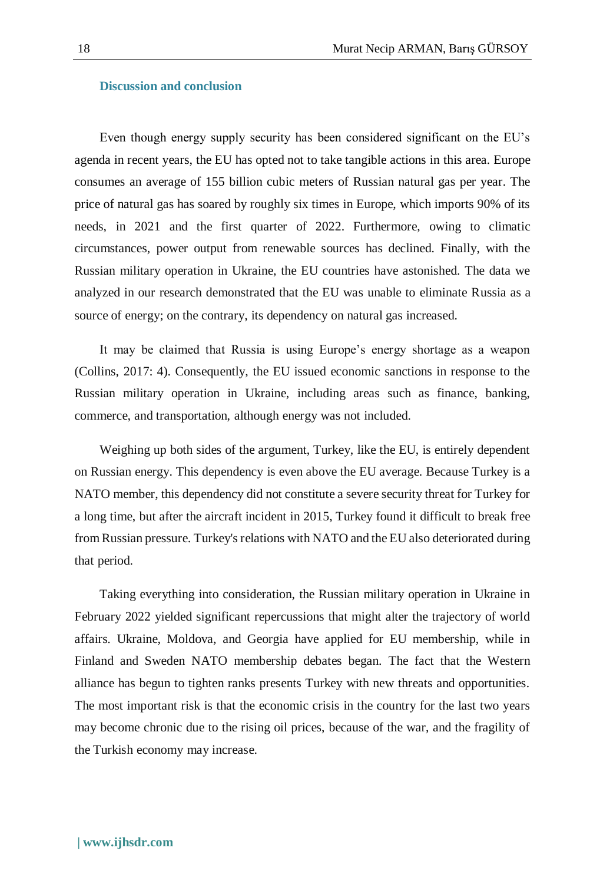#### **Discussion and conclusion**

Even though energy supply security has been considered significant on the EU's agenda in recent years, the EU has opted not to take tangible actions in this area. Europe consumes an average of 155 billion cubic meters of Russian natural gas per year. The price of natural gas has soared by roughly six times in Europe, which imports 90% of its needs, in 2021 and the first quarter of 2022. Furthermore, owing to climatic circumstances, power output from renewable sources has declined. Finally, with the Russian military operation in Ukraine, the EU countries have astonished. The data we analyzed in our research demonstrated that the EU was unable to eliminate Russia as a source of energy; on the contrary, its dependency on natural gas increased.

It may be claimed that Russia is using Europe's energy shortage as a weapon (Collins, 2017: 4). Consequently, the EU issued economic sanctions in response to the Russian military operation in Ukraine, including areas such as finance, banking, commerce, and transportation, although energy was not included.

Weighing up both sides of the argument, Turkey, like the EU, is entirely dependent on Russian energy. This dependency is even above the EU average. Because Turkey is a NATO member, this dependency did not constitute a severe security threat for Turkey for a long time, but after the aircraft incident in 2015, Turkey found it difficult to break free from Russian pressure. Turkey's relations with NATO and the EU also deteriorated during that period.

Taking everything into consideration, the Russian military operation in Ukraine in February 2022 yielded significant repercussions that might alter the trajectory of world affairs. Ukraine, Moldova, and Georgia have applied for EU membership, while in Finland and Sweden NATO membership debates began. The fact that the Western alliance has begun to tighten ranks presents Turkey with new threats and opportunities. The most important risk is that the economic crisis in the country for the last two years may become chronic due to the rising oil prices, because of the war, and the fragility of the Turkish economy may increase.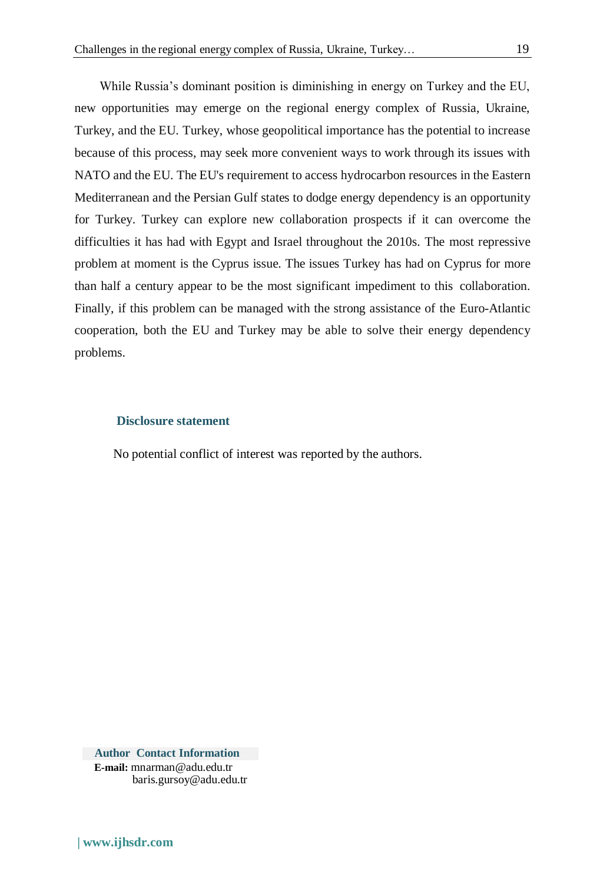While Russia's dominant position is diminishing in energy on Turkey and the EU, new opportunities may emerge on the regional energy complex of Russia, Ukraine, Turkey, and the EU. Turkey, whose geopolitical importance has the potential to increase because of this process, may seek more convenient ways to work through its issues with NATO and the EU. The EU's requirement to access hydrocarbon resources in the Eastern Mediterranean and the Persian Gulf states to dodge energy dependency is an opportunity for Turkey. Turkey can explore new collaboration prospects if it can overcome the difficulties it has had with Egypt and Israel throughout the 2010s. The most repressive problem at moment is the Cyprus issue. The issues Turkey has had on Cyprus for more than half a century appear to be the most significant impediment to this collaboration. Finally, if this problem can be managed with the strong assistance of the Euro-Atlantic cooperation, both the EU and Turkey may be able to solve their energy dependency problems.

#### **Disclosure statement**

No potential conflict of interest was reported by the authors.

**Author Contact Information E-mail:** [mnarman@adu.edu.tr](mailto:mnarman@adu.edu.tr) [baris.gursoy@adu.edu.tr](mailto:baris.gursoy@adu.edu.tr)

**| [www.ijhsdr.com](http://www.ijhsdr.com/)**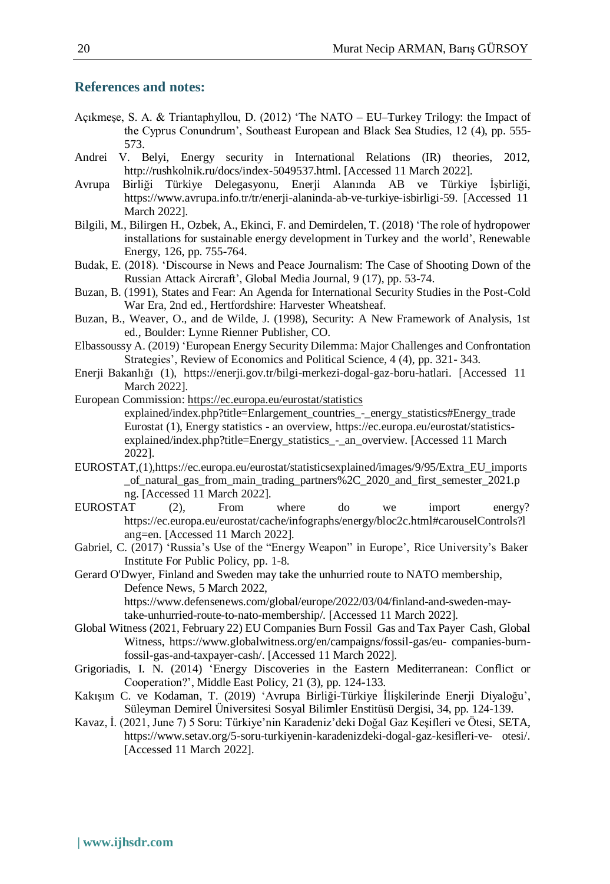## **References and notes:**

- Açıkmeşe, S. A. & Triantaphyllou, D. (2012) 'The NATO EU–Turkey Trilogy: the Impact of the Cyprus Conundrum', Southeast European and Black Sea Studies, 12 (4), pp. 555- 573.
- Andrei V. Belyi, Energy security in International Relations (IR) theories, 2012, [http://rushkolnik.ru/docs/index-5049537.html.](http://rushkolnik.ru/docs/index-5049537.html) [Accessed 11 March 2022].
- Avrupa Birliği Türkiye Delegasyonu, Enerji Alanında AB ve Türkiye İşbirliği, https:/[/www.avrupa.info.tr/tr/enerji-alaninda-ab-ve-turkiye-isbirligi-59.](http://www.avrupa.info.tr/tr/enerji-alaninda-ab-ve-turkiye-isbirligi-59) [Accessed 11 March 2022].
- Bilgili, M., Bilirgen H., Ozbek, A., Ekinci, F. and Demirdelen, T. (2018) 'The role of hydropower installations for sustainable energy development in Turkey and the world', Renewable Energy, 126, pp. 755-764.
- Budak, E. (2018). 'Discourse in News and Peace Journalism: The Case of Shooting Down of the Russian Attack Aircraft', Global Media Journal, 9 (17), pp. 53-74.
- Buzan, B. (1991), States and Fear: An Agenda for International Security Studies in the Post-Cold War Era, 2nd ed., Hertfordshire: Harvester Wheatsheaf.
- Buzan, B., Weaver, O., and de Wilde, J. (1998), Security: A New Framework of Analysis, 1st ed., Boulder: Lynne Rienner Publisher, CO.
- Elbassoussy A. (2019) 'European Energy Security Dilemma: Major Challenges and Confrontation Strategies', Review of Economics and Political Science, 4 (4), pp. 321- 343.
- Enerji Bakanlığı (1), https://enerji.gov.tr/bilgi-merkezi-dogal-gaz-boru-hatlari. [Accessed 11 March 2022].
- European Commission[: https://ec.europa.eu/eurostat/statistics](https://ec.europa.eu/eurostat/statistics) explained/index.php?title=Enlargement\_countries\_-\_energy\_statistics#Energy\_trade Eurostat (1), Energy statistics - an overview, https://ec.europa.eu/eurostat/statisticsexplained/index.php?title=Energy\_statistics\_-\_an\_overview. [Accessed 11 March 2022].
- EUROSTAT,(1),https://ec.europa.eu/eurostat/statisticsexplained/images/9/95/Extra\_EU\_imports \_of\_natural\_gas\_from\_main\_trading\_partners%2C\_2020\_and\_first\_semester\_2021.p ng. [Accessed 11 March 2022].
- EUROSTAT (2), From where do we import energy? https://ec.europa.eu/eurostat/cache/infographs/energy/bloc2c.html#carouselControls?l ang=en. [Accessed 11 March 2022].
- Gabriel, C. (2017) 'Russia's Use of the "Energy Weapon" in Europe', Rice University's Baker Institute For Public Policy, pp. 1-8.
- Gerard O'Dwyer, Finland and Sweden may take the unhurried route to NATO membership, Defence News, 5 March 2022,

https:[//www.defensenews.com/global/europe/2022/03/04/finland-and-sweden-may](http://www.defensenews.com/global/europe/2022/03/04/finland-and-sweden-may-)take-unhurried-route-to-nato-membership/. [Accessed 11 March 2022].

- Global Witness (2021, February 22) EU Companies Burn Fossil Gas and Tax Payer Cash, Global Witness, https:/[/www.globalwitness.org/en/campaigns/fossil-gas/eu-](http://www.globalwitness.org/en/campaigns/fossil-gas/eu-) companies-burnfossil-gas-and-taxpayer-cash/. [Accessed 11 March 2022].
- Grigoriadis, I. N. (2014) 'Energy Discoveries in the Eastern Mediterranean: Conflict or Cooperation?', Middle East Policy, 21 (3), pp. 124-133.
- Kakışım C. ve Kodaman, T. (2019) 'Avrupa Birliği-Türkiye İlişkilerinde Enerji Diyaloğu', Süleyman Demirel Üniversitesi Sosyal Bilimler Enstitüsü Dergisi, 34, pp. 124-139.
- Kavaz, İ. (2021, June 7) 5 Soru: Türkiye'nin Karadeniz'deki Doğal Gaz Keşifleri ve Ötesi, SETA, https:/[/www.setav.org/5-soru-turkiyenin-karadenizdeki-dogal-gaz-kesifleri-ve-](http://www.setav.org/5-soru-turkiyenin-karadenizdeki-dogal-gaz-kesifleri-ve-) otesi/. [Accessed 11 March 2022].